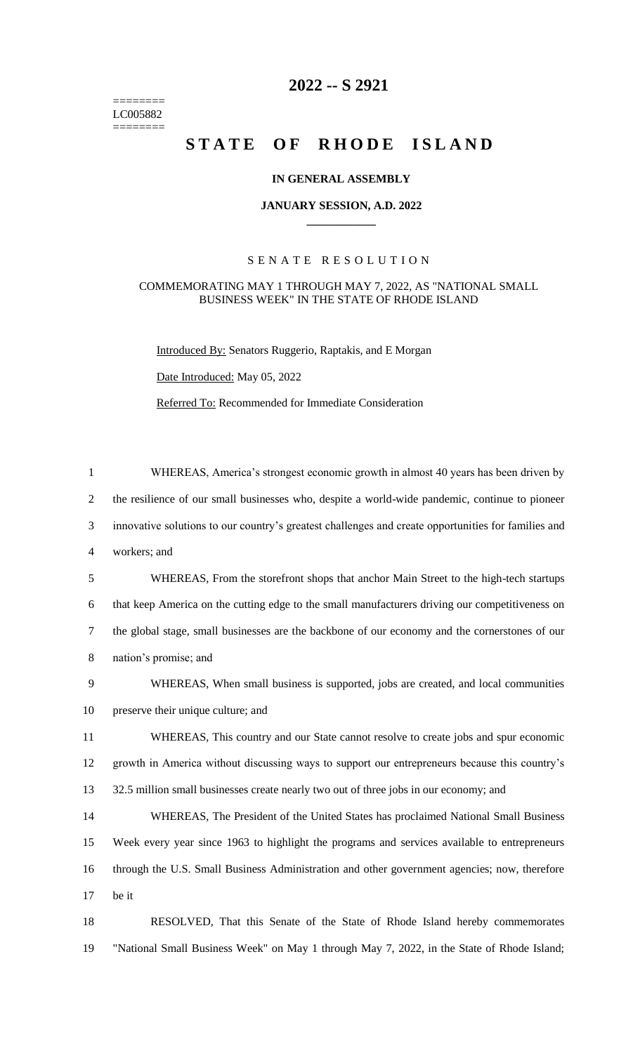$=$ LC005882  $=$ 

# **2022 -- S 2921**

# STATE OF RHODE ISLAND

#### **IN GENERAL ASSEMBLY**

#### **JANUARY SESSION, A.D. 2022 \_\_\_\_\_\_\_\_\_\_\_\_**

## S E N A T E R E S O L U T I O N

#### COMMEMORATING MAY 1 THROUGH MAY 7, 2022, AS "NATIONAL SMALL BUSINESS WEEK" IN THE STATE OF RHODE ISLAND

Introduced By: Senators Ruggerio, Raptakis, and E Morgan

Date Introduced: May 05, 2022

Referred To: Recommended for Immediate Consideration

| $\mathbf{1}$   | WHEREAS, America's strongest economic growth in almost 40 years has been driven by                  |
|----------------|-----------------------------------------------------------------------------------------------------|
| $\overline{2}$ | the resilience of our small businesses who, despite a world-wide pandemic, continue to pioneer      |
| 3              | innovative solutions to our country's greatest challenges and create opportunities for families and |
| $\overline{4}$ | workers; and                                                                                        |
| 5              | WHEREAS, From the storefront shops that anchor Main Street to the high-tech startups                |
| 6              | that keep America on the cutting edge to the small manufacturers driving our competitiveness on     |
| $\tau$         | the global stage, small businesses are the backbone of our economy and the cornerstones of our      |
| $8\,$          | nation's promise; and                                                                               |
| 9              | WHEREAS, When small business is supported, jobs are created, and local communities                  |
| 10             | preserve their unique culture; and                                                                  |
| 11             | WHEREAS, This country and our State cannot resolve to create jobs and spur economic                 |
| 12             | growth in America without discussing ways to support our entrepreneurs because this country's       |
| 13             | 32.5 million small businesses create nearly two out of three jobs in our economy; and               |
| 14             | WHEREAS, The President of the United States has proclaimed National Small Business                  |
| 15             | Week every year since 1963 to highlight the programs and services available to entrepreneurs        |
| 16             | through the U.S. Small Business Administration and other government agencies; now, therefore        |
| 17             | be it                                                                                               |
| 18             | RESOLVED, That this Senate of the State of Rhode Island hereby commemorates                         |
| 19             | "National Small Business Week" on May 1 through May 7, 2022, in the State of Rhode Island;          |